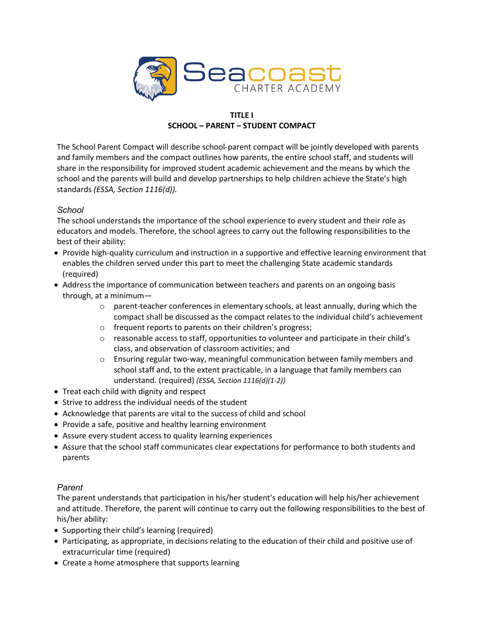

## **TITLE I SCHOOL – PARENT – STUDENT COMPACT**

The School Parent Compact will describe school-parent compact will be jointly developed with parents and family members and the compact outlines how parents, the entire school staff, and students will share in the responsibility for improved student academic achievement and the means by which the school and the parents will build and develop partnerships to help children achieve the State's high standards *(ESSA, Section 1116(d)).*

## *School*

The school understands the importance of the school experience to every student and their role as educators and models. Therefore, the school agrees to carry out the following responsibilities to the best of their ability:

- Provide high-quality curriculum and instruction in a supportive and effective learning environment that enables the children served under this part to meet the challenging State academic standards (required)
- Address the importance of communication between teachers and parents on an ongoing basis through, at a minimum—
	- $\circ$  parent-teacher conferences in elementary schools, at least annually, during which the compact shall be discussed as the compact relates to the individual child's achievement
	- o frequent reports to parents on their children's progress;
	- $\circ$  reasonable access to staff, opportunities to volunteer and participate in their child's class, and observation of classroom activities; and
	- o Ensuring regular two-way, meaningful communication between family members and school staff and, to the extent practicable, in a language that family members can understand. (required) *(ESSA, Section 1116(d)(1-2))*
- Treat each child with dignity and respect
- Strive to address the individual needs of the student
- Acknowledge that parents are vital to the success of child and school
- Provide a safe, positive and healthy learning environment
- Assure every student access to quality learning experiences
- Assure that the school staff communicates clear expectations for performance to both students and parents

## *Parent*

The parent understands that participation in his/her student's education will help his/her achievement and attitude. Therefore, the parent will continue to carry out the following responsibilities to the best of his/her ability:

- Supporting their child's learning (required)
- Participating, as appropriate, in decisions relating to the education of their child and positive use of extracurricular time (required)
- Create a home atmosphere that supports learning